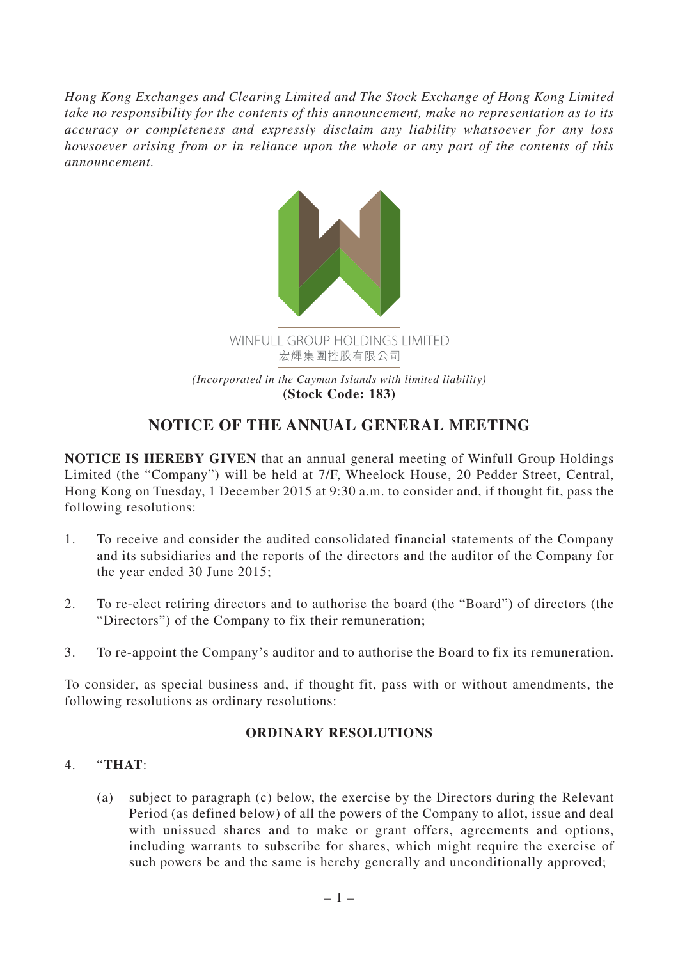*Hong Kong Exchanges and Clearing Limited and The Stock Exchange of Hong Kong Limited take no responsibility for the contents of this announcement, make no representation as to its accuracy or completeness and expressly disclaim any liability whatsoever for any loss howsoever arising from or in reliance upon the whole or any part of the contents of this announcement.*



# **NOTICE OF THE ANNUAL GENERAL MEETING**

**NOTICE IS HEREBY GIVEN** that an annual general meeting of Winfull Group Holdings Limited (the "Company") will be held at 7/F, Wheelock House, 20 Pedder Street, Central, Hong Kong on Tuesday, 1 December 2015 at 9:30 a.m. to consider and, if thought fit, pass the following resolutions:

- 1. To receive and consider the audited consolidated financial statements of the Company and its subsidiaries and the reports of the directors and the auditor of the Company for the year ended 30 June 2015;
- 2. To re-elect retiring directors and to authorise the board (the "Board") of directors (the "Directors") of the Company to fix their remuneration;
- 3. To re-appoint the Company's auditor and to authorise the Board to fix its remuneration.

To consider, as special business and, if thought fit, pass with or without amendments, the following resolutions as ordinary resolutions:

## **ORDINARY RESOLUTIONS**

## 4. "**THAT**:

(a) subject to paragraph (c) below, the exercise by the Directors during the Relevant Period (as defined below) of all the powers of the Company to allot, issue and deal with unissued shares and to make or grant offers, agreements and options, including warrants to subscribe for shares, which might require the exercise of such powers be and the same is hereby generally and unconditionally approved;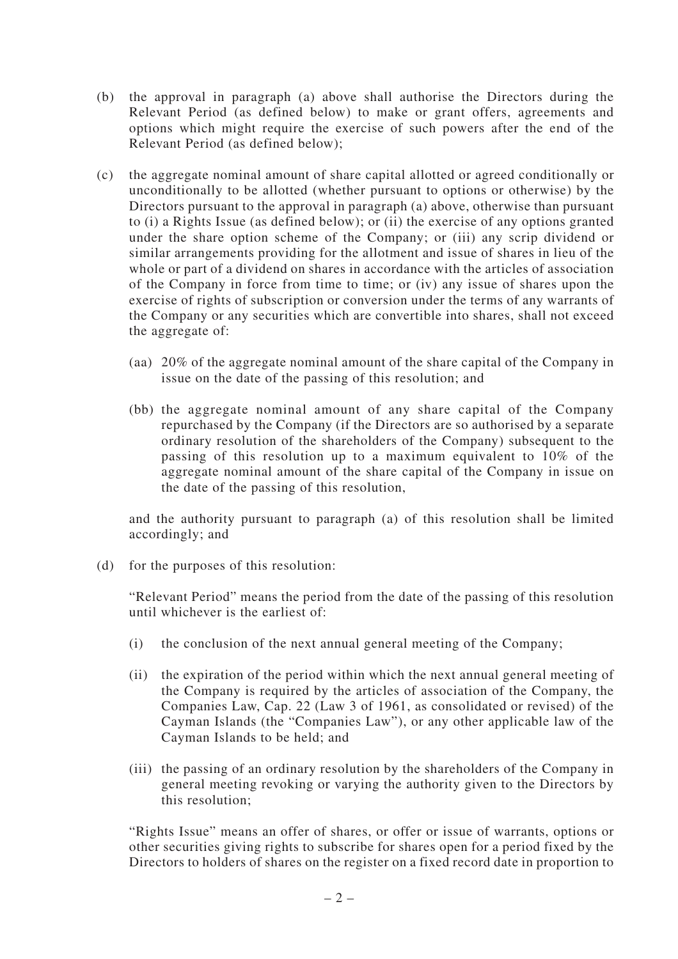- (b) the approval in paragraph (a) above shall authorise the Directors during the Relevant Period (as defined below) to make or grant offers, agreements and options which might require the exercise of such powers after the end of the Relevant Period (as defined below);
- (c) the aggregate nominal amount of share capital allotted or agreed conditionally or unconditionally to be allotted (whether pursuant to options or otherwise) by the Directors pursuant to the approval in paragraph (a) above, otherwise than pursuant to (i) a Rights Issue (as defined below); or (ii) the exercise of any options granted under the share option scheme of the Company; or (iii) any scrip dividend or similar arrangements providing for the allotment and issue of shares in lieu of the whole or part of a dividend on shares in accordance with the articles of association of the Company in force from time to time; or (iv) any issue of shares upon the exercise of rights of subscription or conversion under the terms of any warrants of the Company or any securities which are convertible into shares, shall not exceed the aggregate of:
	- (aa) 20% of the aggregate nominal amount of the share capital of the Company in issue on the date of the passing of this resolution; and
	- (bb) the aggregate nominal amount of any share capital of the Company repurchased by the Company (if the Directors are so authorised by a separate ordinary resolution of the shareholders of the Company) subsequent to the passing of this resolution up to a maximum equivalent to 10% of the aggregate nominal amount of the share capital of the Company in issue on the date of the passing of this resolution,

and the authority pursuant to paragraph (a) of this resolution shall be limited accordingly; and

(d) for the purposes of this resolution:

"Relevant Period" means the period from the date of the passing of this resolution until whichever is the earliest of:

- (i) the conclusion of the next annual general meeting of the Company;
- (ii) the expiration of the period within which the next annual general meeting of the Company is required by the articles of association of the Company, the Companies Law, Cap. 22 (Law 3 of 1961, as consolidated or revised) of the Cayman Islands (the "Companies Law"), or any other applicable law of the Cayman Islands to be held; and
- (iii) the passing of an ordinary resolution by the shareholders of the Company in general meeting revoking or varying the authority given to the Directors by this resolution;

"Rights Issue" means an offer of shares, or offer or issue of warrants, options or other securities giving rights to subscribe for shares open for a period fixed by the Directors to holders of shares on the register on a fixed record date in proportion to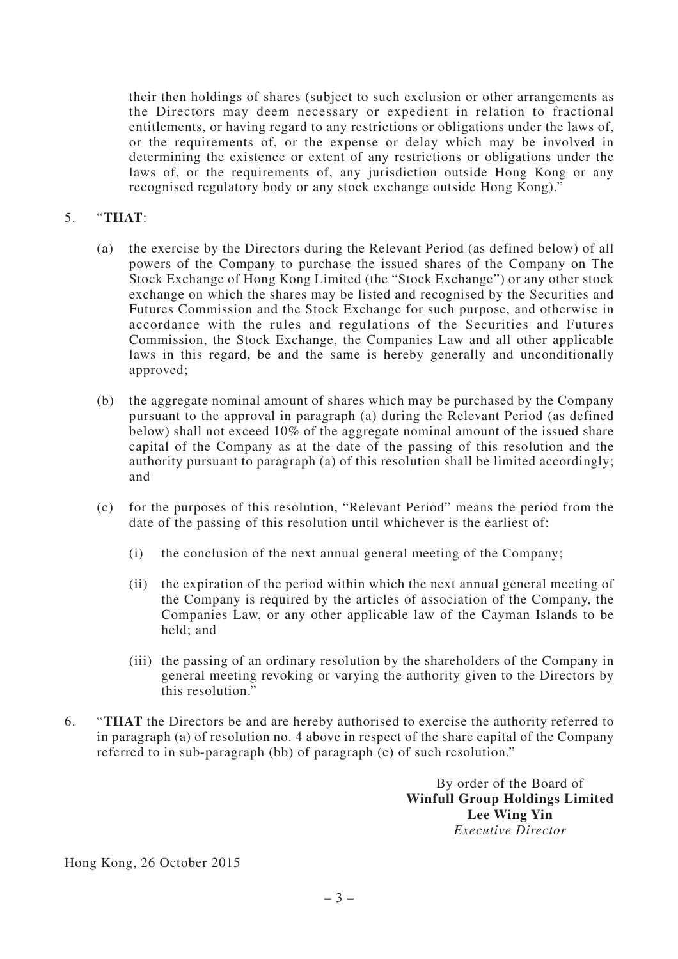their then holdings of shares (subject to such exclusion or other arrangements as the Directors may deem necessary or expedient in relation to fractional entitlements, or having regard to any restrictions or obligations under the laws of, or the requirements of, or the expense or delay which may be involved in determining the existence or extent of any restrictions or obligations under the laws of, or the requirements of, any jurisdiction outside Hong Kong or any recognised regulatory body or any stock exchange outside Hong Kong)."

#### 5. "**THAT**:

- (a) the exercise by the Directors during the Relevant Period (as defined below) of all powers of the Company to purchase the issued shares of the Company on The Stock Exchange of Hong Kong Limited (the "Stock Exchange") or any other stock exchange on which the shares may be listed and recognised by the Securities and Futures Commission and the Stock Exchange for such purpose, and otherwise in accordance with the rules and regulations of the Securities and Futures Commission, the Stock Exchange, the Companies Law and all other applicable laws in this regard, be and the same is hereby generally and unconditionally approved;
- (b) the aggregate nominal amount of shares which may be purchased by the Company pursuant to the approval in paragraph (a) during the Relevant Period (as defined below) shall not exceed 10% of the aggregate nominal amount of the issued share capital of the Company as at the date of the passing of this resolution and the authority pursuant to paragraph (a) of this resolution shall be limited accordingly; and
- (c) for the purposes of this resolution, "Relevant Period" means the period from the date of the passing of this resolution until whichever is the earliest of:
	- (i) the conclusion of the next annual general meeting of the Company;
	- (ii) the expiration of the period within which the next annual general meeting of the Company is required by the articles of association of the Company, the Companies Law, or any other applicable law of the Cayman Islands to be held; and
	- (iii) the passing of an ordinary resolution by the shareholders of the Company in general meeting revoking or varying the authority given to the Directors by this resolution."
- 6. "**THAT** the Directors be and are hereby authorised to exercise the authority referred to in paragraph (a) of resolution no. 4 above in respect of the share capital of the Company referred to in sub-paragraph (bb) of paragraph (c) of such resolution."

By order of the Board of **Winfull Group Holdings Limited Lee Wing Yin** *Executive Director*

Hong Kong, 26 October 2015